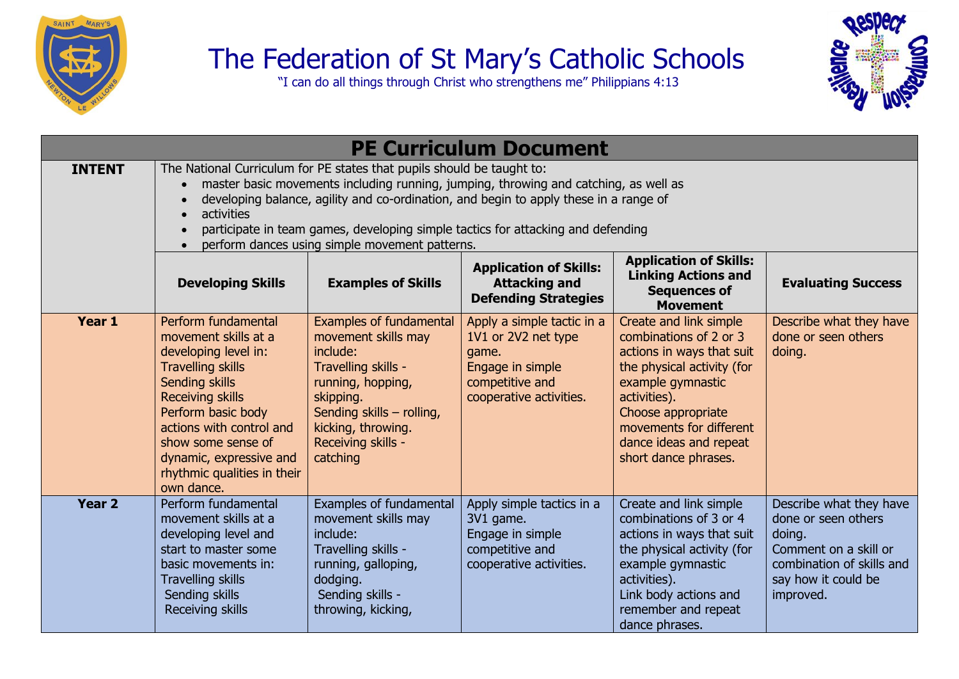

## The Federation of St Mary's Catholic Schools

"I can do all things through Christ who strengthens me" Philippians 4:13



|               |                                                                                                                                                                                                                                                                                                                                                                                                             |                                                                                                                                                                                                                 | <b>PE Curriculum Document</b>                                                                                                |                                                                                                                                                                                                                                                     |                                                                                                                                                    |  |  |
|---------------|-------------------------------------------------------------------------------------------------------------------------------------------------------------------------------------------------------------------------------------------------------------------------------------------------------------------------------------------------------------------------------------------------------------|-----------------------------------------------------------------------------------------------------------------------------------------------------------------------------------------------------------------|------------------------------------------------------------------------------------------------------------------------------|-----------------------------------------------------------------------------------------------------------------------------------------------------------------------------------------------------------------------------------------------------|----------------------------------------------------------------------------------------------------------------------------------------------------|--|--|
| <b>INTENT</b> | The National Curriculum for PE states that pupils should be taught to:<br>master basic movements including running, jumping, throwing and catching, as well as<br>developing balance, agility and co-ordination, and begin to apply these in a range of<br>activities<br>participate in team games, developing simple tactics for attacking and defending<br>perform dances using simple movement patterns. |                                                                                                                                                                                                                 |                                                                                                                              |                                                                                                                                                                                                                                                     |                                                                                                                                                    |  |  |
|               | <b>Developing Skills</b>                                                                                                                                                                                                                                                                                                                                                                                    | <b>Examples of Skills</b>                                                                                                                                                                                       | <b>Application of Skills:</b><br><b>Attacking and</b><br><b>Defending Strategies</b>                                         | <b>Application of Skills:</b><br><b>Linking Actions and</b><br><b>Sequences of</b><br><b>Movement</b>                                                                                                                                               | <b>Evaluating Success</b>                                                                                                                          |  |  |
| Year 1        | Perform fundamental<br>movement skills at a<br>developing level in:<br><b>Travelling skills</b><br>Sending skills<br><b>Receiving skills</b><br>Perform basic body<br>actions with control and<br>show some sense of<br>dynamic, expressive and<br>rhythmic qualities in their<br>own dance.                                                                                                                | <b>Examples of fundamental</b><br>movement skills may<br>include:<br>Travelling skills -<br>running, hopping,<br>skipping.<br>Sending skills - rolling,<br>kicking, throwing.<br>Receiving skills -<br>catching | Apply a simple tactic in a<br>1V1 or 2V2 net type<br>game.<br>Engage in simple<br>competitive and<br>cooperative activities. | Create and link simple<br>combinations of 2 or 3<br>actions in ways that suit<br>the physical activity (for<br>example gymnastic<br>activities).<br>Choose appropriate<br>movements for different<br>dance ideas and repeat<br>short dance phrases. | Describe what they have<br>done or seen others<br>doing.                                                                                           |  |  |
| <b>Year 2</b> | Perform fundamental<br>movement skills at a<br>developing level and<br>start to master some<br>basic movements in:<br><b>Travelling skills</b><br>Sending skills<br>Receiving skills                                                                                                                                                                                                                        | Examples of fundamental<br>movement skills may<br>include:<br>Travelling skills -<br>running, galloping,<br>dodging.<br>Sending skills -<br>throwing, kicking,                                                  | Apply simple tactics in a<br>3V1 game.<br>Engage in simple<br>competitive and<br>cooperative activities.                     | Create and link simple<br>combinations of 3 or 4<br>actions in ways that suit<br>the physical activity (for<br>example gymnastic<br>activities).<br>Link body actions and<br>remember and repeat<br>dance phrases.                                  | Describe what they have<br>done or seen others<br>doing.<br>Comment on a skill or<br>combination of skills and<br>say how it could be<br>improved. |  |  |